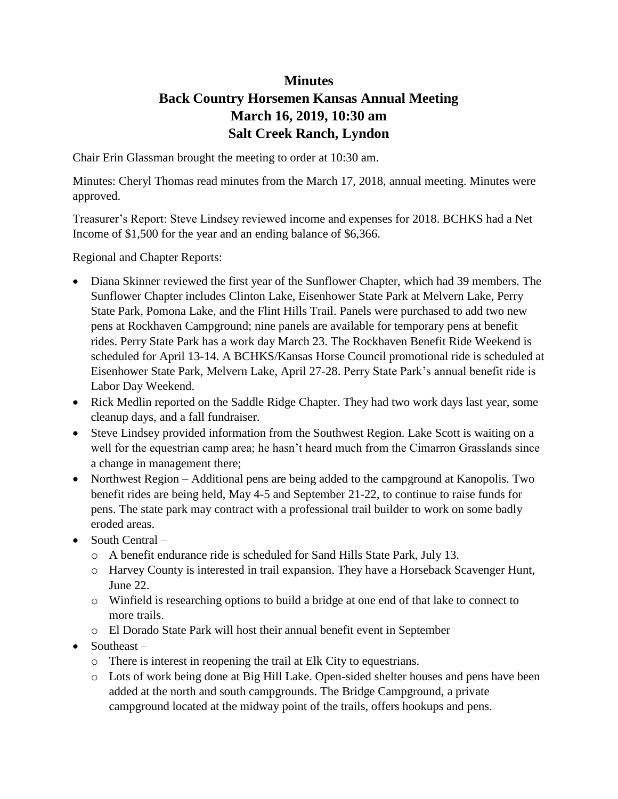## **Minutes**

## **Back Country Horsemen Kansas Annual Meeting March 16, 2019, 10:30 am Salt Creek Ranch, Lyndon**

Chair Erin Glassman brought the meeting to order at 10:30 am.

Minutes: Cheryl Thomas read minutes from the March 17, 2018, annual meeting. Minutes were approved.

Treasurer's Report: Steve Lindsey reviewed income and expenses for 2018. BCHKS had a Net Income of \$1,500 for the year and an ending balance of \$6,366.

Regional and Chapter Reports:

- Diana Skinner reviewed the first year of the Sunflower Chapter, which had 39 members. The Sunflower Chapter includes Clinton Lake, Eisenhower State Park at Melvern Lake, Perry State Park, Pomona Lake, and the Flint Hills Trail. Panels were purchased to add two new pens at Rockhaven Campground; nine panels are available for temporary pens at benefit rides. Perry State Park has a work day March 23. The Rockhaven Benefit Ride Weekend is scheduled for April 13-14. A BCHKS/Kansas Horse Council promotional ride is scheduled at Eisenhower State Park, Melvern Lake, April 27-28. Perry State Park's annual benefit ride is Labor Day Weekend.
- Rick Medlin reported on the Saddle Ridge Chapter. They had two work days last year, some cleanup days, and a fall fundraiser.
- Steve Lindsey provided information from the Southwest Region. Lake Scott is waiting on a well for the equestrian camp area; he hasn't heard much from the Cimarron Grasslands since a change in management there;
- Northwest Region Additional pens are being added to the campground at Kanopolis. Two benefit rides are being held, May 4-5 and September 21-22, to continue to raise funds for pens. The state park may contract with a professional trail builder to work on some badly eroded areas.
- $\bullet$  South Central
	- o A benefit endurance ride is scheduled for Sand Hills State Park, July 13.
	- o Harvey County is interested in trail expansion. They have a Horseback Scavenger Hunt, June 22.
	- o Winfield is researching options to build a bridge at one end of that lake to connect to more trails.
	- o El Dorado State Park will host their annual benefit event in September
- $\bullet$  Southeast
	- o There is interest in reopening the trail at Elk City to equestrians.
	- o Lots of work being done at Big Hill Lake. Open-sided shelter houses and pens have been added at the north and south campgrounds. The Bridge Campground, a private campground located at the midway point of the trails, offers hookups and pens.